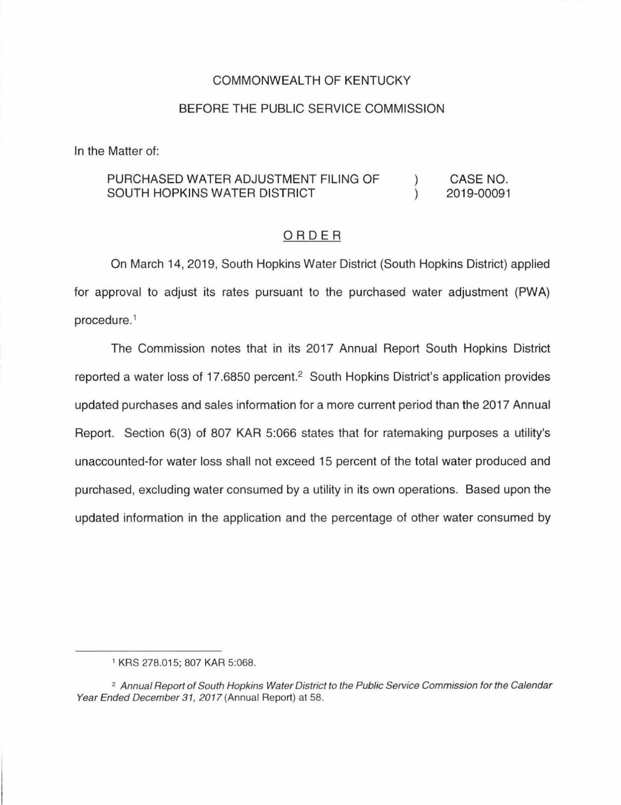## COMMONWEALTH OF KENTUCKY

## BEFORE THE PUBLIC SERVICE COMMISSION

In the Matter of:

#### PURCHASED WATER ADJUSTMENT FILING OF CASE NO.  $\left( \right)$ SOUTH HOPKINS WATER DISTRICT  $\lambda$ 2019-00091

## ORDER

On March 14, 2019, South Hopkins Water District (South Hopkins District) applied for approval to adjust its rates pursuant to the purchased water adjustment (PWA) procedure. 1

The Commission notes that in its 2017 Annual Report South Hopkins District reported a water loss of 17.6850 percent.<sup>2</sup> South Hopkins District's application provides updated purchases and sales information for a more current period than the 2017 Annual Report. Section 6(3) of 807 KAR 5:066 states that for ratemaking purposes a utility's unaccounted-for water loss shall not exceed 15 percent of the total water produced and purchased, excluding water consumed by a utility in its own operations. Based upon the updated information in the application and the percentage of other water consumed by

<sup>1</sup>KRS 278.015; 807 KAR 5:068.

<sup>&</sup>lt;sup>2</sup> Annual Report of South Hopkins Water District to the Public Service Commission for the Calendar Year Ended December 31, 2017 (Annual Report) at 58.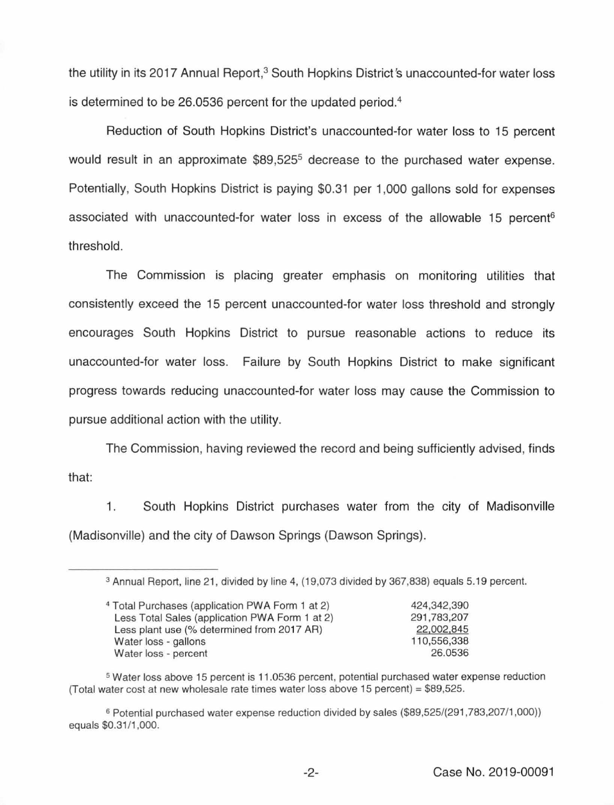the utility in its 2017 Annual Report,<sup>3</sup> South Hopkins District's unaccounted-for water loss is determined to be 26.0536 percent for the updated period.4

Reduction of South Hopkins District's unaccounted-for water loss to 15 percent would result in an approximate \$89,525<sup>5</sup> decrease to the purchased water expense. Potentially, South Hopkins District is paying \$0.31 per 1,000 gallons sold for expenses associated with unaccounted-for water loss in excess of the allowable 15 percent<sup>6</sup> threshold.

The Commission is placing greater emphasis on monitoring utilities that consistently exceed the 15 percent unaccounted-for water loss threshold and strongly encourages South Hopkins District to pursue reasonable actions to reduce its unaccounted-for water loss. Failure by South Hopkins District to make significant progress towards reducing unaccounted-for water loss may cause the Commission to pursue additional action with the utility.

The Commission, having reviewed the record and being sufficiently advised, finds that:

1. South Hopkins District purchases water from the city of Madisonville (Madisonville) and the city of Dawson Springs (Dawson Springs).

<sup>3</sup> Annual Report, line 21 , divided by line 4, {19,073 divided by 367,838) equals 5. 19 percent.

| <sup>4</sup> Total Purchases (application PWA Form 1 at 2) | 424,342,390 |
|------------------------------------------------------------|-------------|
| Less Total Sales (application PWA Form 1 at 2)             | 291,783,207 |
| Less plant use (% determined from 2017 AR)                 | 22,002,845  |
| Water loss - gallons                                       | 110,556,338 |
| Water loss - percent                                       | 26.0536     |

s Water loss above 15 percent is 11.0536 percent, potential purchased water expense reduction (Total water cost at new wholesale rate times water loss above  $15$  percent) = \$89,525.

s Potential purchased water expense reduction divided by sales (\$89,525/(291,783,207/1,000)) equals \$0.31/1,000.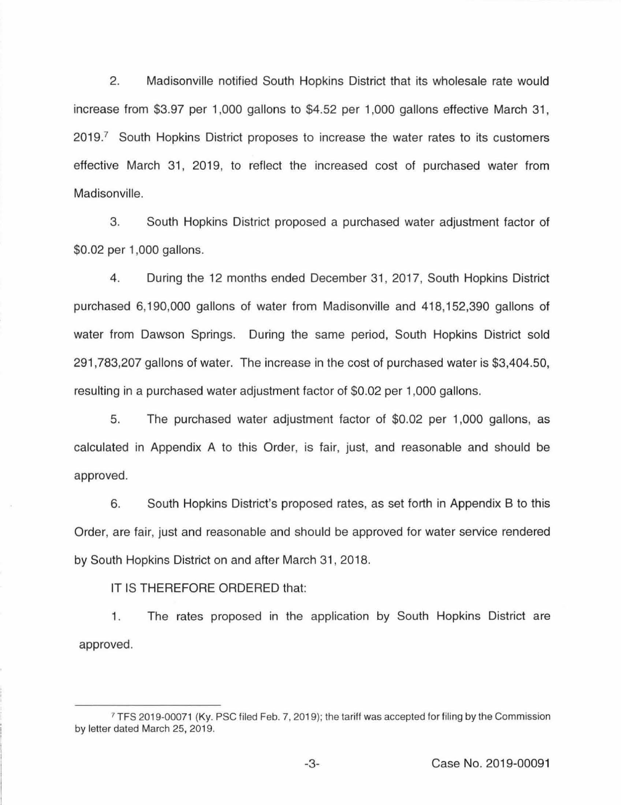2. Madisonville notified South Hopkins District that its wholesale rate would increase from \$3.97 per 1,000 gallons to \$4.52 per 1,000 gallons effective March 31, 2019.7 South Hopkins District proposes to increase the water rates to its customers effective March 31, 2019, to reflect the increased cost of purchased water from Madisonville.

3. South Hopkins District proposed a purchased water adjustment factor of \$0.02 per 1 ,000 gallons.

4. During the 12 months ended December 31 , 2017, South Hopkins District purchased 6, 190,000 gallons of water from Madisonville and 418, 152,390 gallons of water from Dawson Springs. During the same period, South Hopkins District sold 291,783,207 gallons of water. The increase in the cost of purchased water is \$3,404.50, resulting in a purchased water adjustment factor of \$0.02 per 1 ,000 gallons.

5. The purchased water adjustment factor of \$0.02 per 1 ,000 gallons, as calculated in Appendix A to this Order, is fair, just, and reasonable and should be approved.

6. South Hopkins District's proposed rates, as set forth in Appendix B to this Order, are fair, just and reasonable and should be approved for water service rendered by South Hopkins District on and after March 31 , 2018.

IT IS THEREFORE ORDERED that:

1. The rates proposed in the application by South Hopkins District are approved.

<sup>7</sup>TFS 2019-00071 (Ky. PSC filed Feb. 7, 2019); the tariff was accepted for filing by the Commission by letter dated March 25, 2019.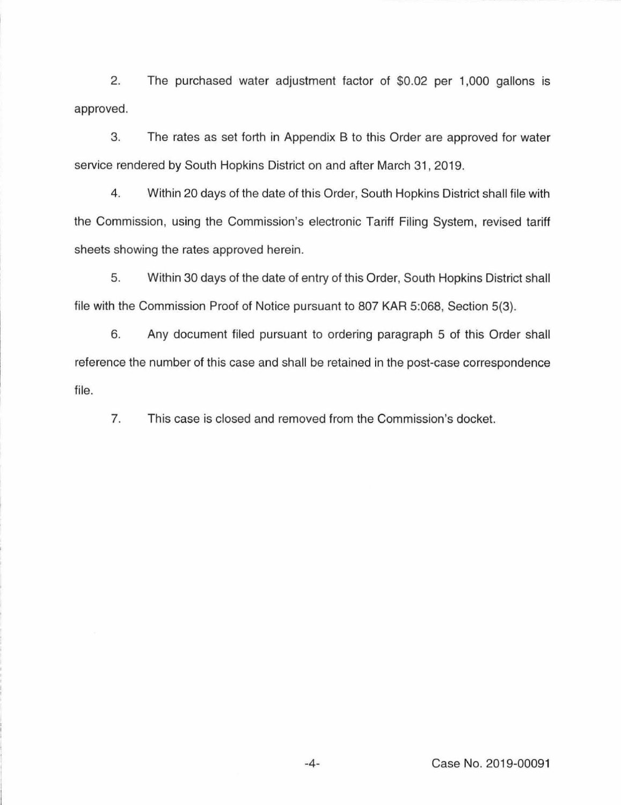2. The purchased water adjustment factor of \$0.02 per 1,000 gallons is approved.

3. The rates as set forth in Appendix B to this Order are approved tor water service rendered by South Hopkins District on and after March 31, 2019.

4. Within 20 days of the date of this Order, South Hopkins District shall tile with the Commission, using the Commission's electronic Tariff Filing System, revised tariff sheets showing the rates approved herein.

5. Within 30 days of the date of entry of this Order, South Hopkins District shall tile with the Commission Proof of Notice pursuant to 807 KAR 5:068, Section 5(3).

6. Any document tiled pursuant to ordering paragraph 5 of this Order shall reference the number of this case and shall be retained in the post-case correspondence file.

7. This case is closed and removed from the Commission's docket.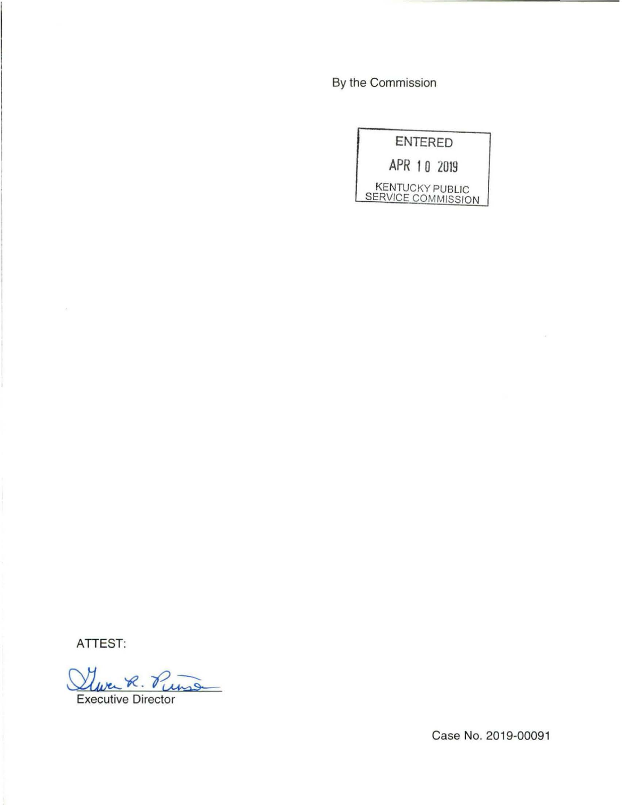By the Commission

|                                              | <b>ENTERED</b> |
|----------------------------------------------|----------------|
| APR 10 2019                                  |                |
| <b>KENTUCKY PUBLIC</b><br>SERVICE COMMISSION |                |

ATTEST:

lever R. Punse

Executive Director

Case No. 2019-00091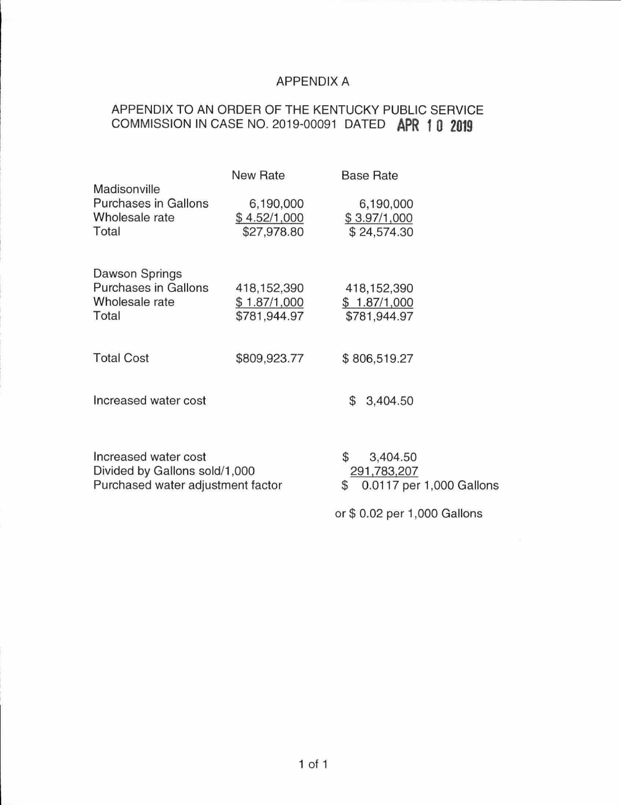## APPENDIX A

# APPENDIX TO AN ORDER OF THE KENTUCKY PUBLIC SERVICE COMMISSION IN CASE NO. 2019-00091 DATED **APR 1 0 2019**

|                                                                                            | New Rate                                    | <b>Base Rate</b>                                                |
|--------------------------------------------------------------------------------------------|---------------------------------------------|-----------------------------------------------------------------|
| Madisonville<br>Purchases in Gallons<br>Wholesale rate<br>Total                            | 6,190,000<br>\$4.52/1,000<br>\$27,978.80    | 6,190,000<br>\$3.97/1,000<br>\$24,574.30                        |
| Dawson Springs<br><b>Purchases in Gallons</b><br>Wholesale rate<br>Total                   | 418,152,390<br>\$1.87/1,000<br>\$781,944.97 | 418, 152, 390<br>\$1.87/1,000<br>\$781,944.97                   |
| <b>Total Cost</b>                                                                          | \$809,923.77                                | \$806,519.27                                                    |
| Increased water cost                                                                       |                                             | \$<br>3,404.50                                                  |
| Increased water cost<br>Divided by Gallons sold/1,000<br>Purchased water adjustment factor |                                             | \$<br>3,404.50<br>291,783,207<br>0.0117 per 1,000 Gallons<br>\$ |
|                                                                                            |                                             | or \$ 0.02 per 1,000 Gallons                                    |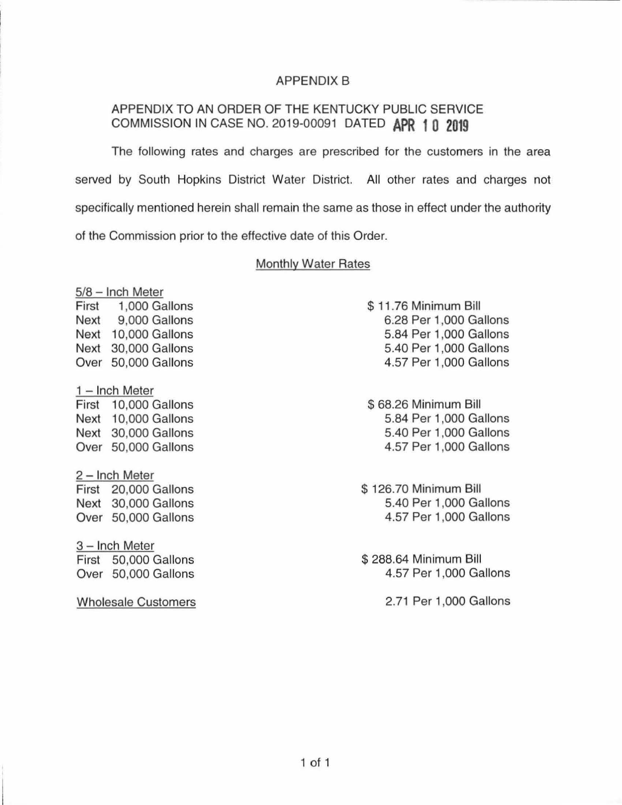## APPENDIX B

## APPENDIX TO AN ORDER OF THE KENTUCKY PUBLIC SERVICE COMMISSION IN CASE NO. 2019-00091 DATED **APR 1 0 2019**

The following rates and charges are prescribed for the customers in the area served by South Hopkins District Water District. All other rates and charges not specifically mentioned herein shall remain the same as those in effect under the authority of the Commission prior to the effective date of this Order.

#### Monthly Water Rates

|                | 5/8 - Inch Meter     |  |  |  |
|----------------|----------------------|--|--|--|
|                | First 1,000 Gallons  |  |  |  |
|                | Next 9,000 Gallons   |  |  |  |
|                | Next 10,000 Gallons  |  |  |  |
|                | Next 30,000 Gallons  |  |  |  |
| Over           | 50,000 Gallons       |  |  |  |
|                | $1 -$ Inch Meter     |  |  |  |
|                | First 10,000 Gallons |  |  |  |
|                | Next 10,000 Gallons  |  |  |  |
|                | Next 30,000 Gallons  |  |  |  |
|                | Over 50,000 Gallons  |  |  |  |
| 2 - Inch Meter |                      |  |  |  |
|                | First 20,000 Gallons |  |  |  |
|                | Next 30,000 Gallons  |  |  |  |
|                | Over 50,000 Gallons  |  |  |  |

3 - Inch Meter First 50,000 Gallons Over 50,000 Gallons

Wholesale Customers

 $$11,76$  Minimum Bill 6.28 Per 1,000 Gallons 5.84 Per 1,000 Gallons 5.40 Per 1,000 Gallons 4.57 Per 1 ,000 Gallons

\$ 68.26 Minimum Bill 5.84 Per 1,000 Gallons 5.40 Per 1,000 Gallons 4.57 Per 1 ,000 Gallons

\$126.70 Minimum Bill 5.40 Per 1,000 Gallons 4.57 Per 1,000 Gallons

\$ 288.64 Minimum Bill 4.57 Per 1,000 Gallons

2.71 Per 1,000 Gallons